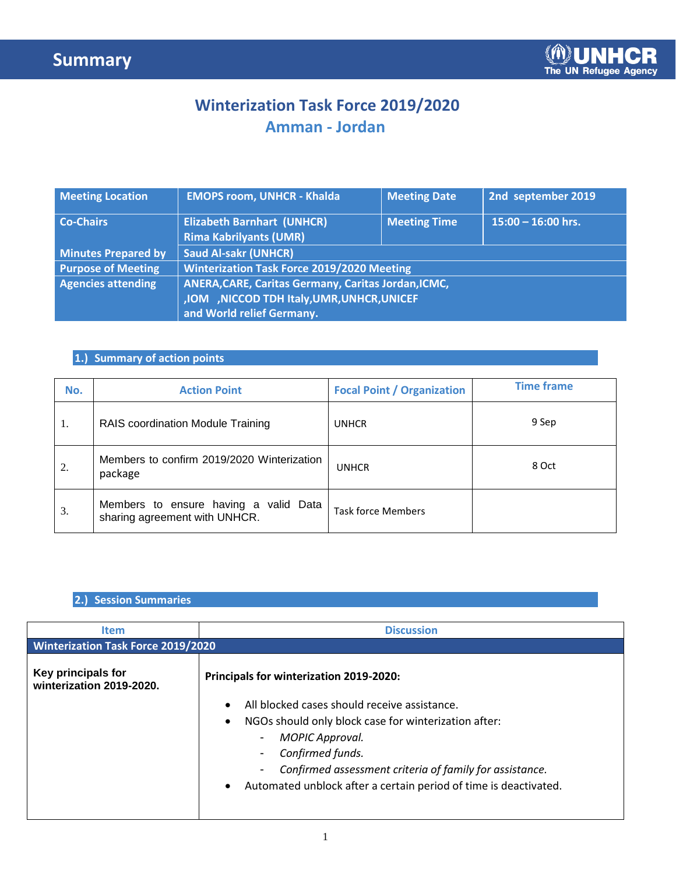### **Winterization Task Force 2019/2020 Amman - Jordan**

| <b>Meeting Location</b>    | <b>EMOPS room, UNHCR - Khalda</b>                                                                                                  | <b>Meeting Date</b> | 2nd september 2019 |  |  |  |
|----------------------------|------------------------------------------------------------------------------------------------------------------------------------|---------------------|--------------------|--|--|--|
| <b>Co-Chairs</b>           | <b>Elizabeth Barnhart (UNHCR)</b><br>$15:00 - 16:00$ hrs.<br><b>Meeting Time</b><br><b>Rima Kabrilyants (UMR)</b>                  |                     |                    |  |  |  |
| <b>Minutes Prepared by</b> | <b>Saud Al-sakr (UNHCR)</b>                                                                                                        |                     |                    |  |  |  |
| <b>Purpose of Meeting</b>  | <b>Winterization Task Force 2019/2020 Meeting</b>                                                                                  |                     |                    |  |  |  |
| <b>Agencies attending</b>  | <b>ANERA, CARE, Caritas Germany, Caritas Jordan, ICMC,</b><br>,IOM ,NICCOD TDH Italy,UMR,UNHCR,UNICEF<br>and World relief Germany. |                     |                    |  |  |  |

### **1.) Summary of action points**

| No. | <b>Action Point</b>                                                    | <b>Focal Point / Organization</b> | <b>Time frame</b> |
|-----|------------------------------------------------------------------------|-----------------------------------|-------------------|
| 1.  | RAIS coordination Module Training                                      | <b>UNHCR</b>                      | 9 Sep             |
| 2.  | Members to confirm 2019/2020 Winterization<br>package                  | <b>UNHCR</b>                      | 8 Oct             |
| 3.  | Members to ensure having a valid Data<br>sharing agreement with UNHCR. | <b>Task force Members</b>         |                   |

#### **2.) Session Summaries**

| <b>Item</b>                                    | <b>Discussion</b>                                                                                                                                                                                                                                                                                                    |  |  |  |  |  |
|------------------------------------------------|----------------------------------------------------------------------------------------------------------------------------------------------------------------------------------------------------------------------------------------------------------------------------------------------------------------------|--|--|--|--|--|
| <b>Winterization Task Force 2019/2020</b>      |                                                                                                                                                                                                                                                                                                                      |  |  |  |  |  |
| Key principals for<br>winterization 2019-2020. | Principals for winterization 2019-2020:                                                                                                                                                                                                                                                                              |  |  |  |  |  |
|                                                | All blocked cases should receive assistance.<br>NGOs should only block case for winterization after:<br>MOPIC Approval.<br>۰.<br>Confirmed funds.<br>$\blacksquare$<br>Confirmed assessment criteria of family for assistance.<br>$\blacksquare$<br>Automated unblock after a certain period of time is deactivated. |  |  |  |  |  |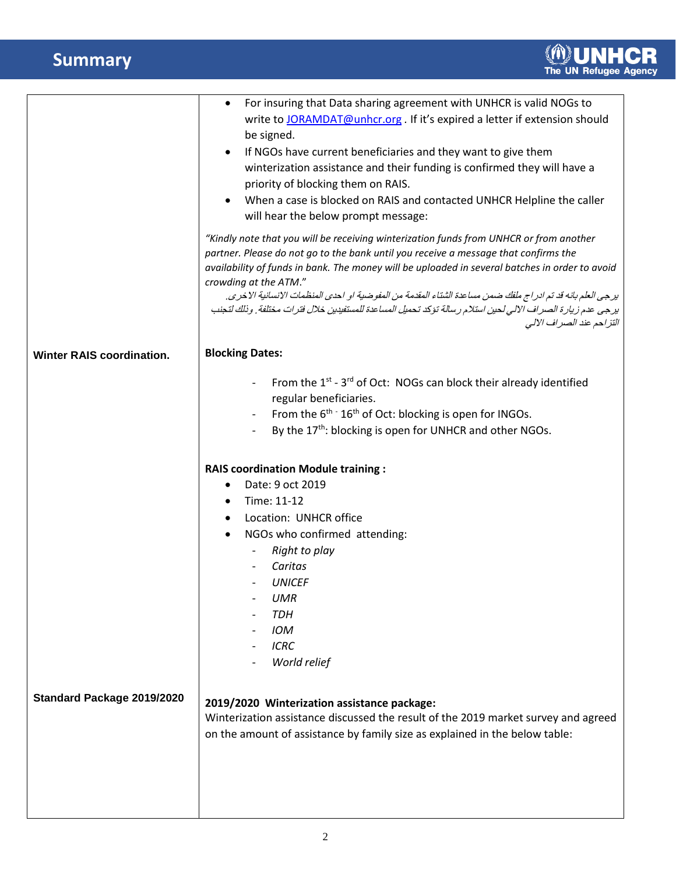# **Summary**

|                                  | For insuring that Data sharing agreement with UNHCR is valid NOGs to<br>write to JORAMDAT@unhcr.org . If it's expired a letter if extension should<br>be signed.<br>If NGOs have current beneficiaries and they want to give them<br>$\bullet$<br>winterization assistance and their funding is confirmed they will have a<br>priority of blocking them on RAIS.<br>When a case is blocked on RAIS and contacted UNHCR Helpline the caller<br>will hear the below prompt message:                                                                               |
|----------------------------------|-----------------------------------------------------------------------------------------------------------------------------------------------------------------------------------------------------------------------------------------------------------------------------------------------------------------------------------------------------------------------------------------------------------------------------------------------------------------------------------------------------------------------------------------------------------------|
|                                  | "Kindly note that you will be receiving winterization funds from UNHCR or from another<br>partner. Please do not go to the bank until you receive a message that confirms the<br>availability of funds in bank. The money will be uploaded in several batches in order to avoid<br>crowding at the ATM."<br>يرجى العلم بانه قد تم ادراج ملفك ضمن مساعدة الشتاء المقدمة من المفوضية او احدى المنظمات الإنسانية الاخرى.<br>يرجى عدم زيارة الصراف الالي لحين استلام رسالة تؤكد تحميل المساعدة للمستفيدين خلال فترات مختلفة. وذلك لتجنب<br>التزاحم عند الصراف الإلى |
| <b>Winter RAIS coordination.</b> | <b>Blocking Dates:</b>                                                                                                                                                                                                                                                                                                                                                                                                                                                                                                                                          |
|                                  | From the 1 <sup>st</sup> - 3 <sup>rd</sup> of Oct: NOGs can block their already identified<br>regular beneficiaries.<br>From the $6^{th}$ $\cdot$ 16 <sup>th</sup> of Oct: blocking is open for INGOs.<br>By the 17 <sup>th</sup> : blocking is open for UNHCR and other NGOs.                                                                                                                                                                                                                                                                                  |
|                                  | <b>RAIS coordination Module training:</b><br>Date: 9 oct 2019<br>Time: 11-12<br>٠<br>Location: UNHCR office<br>$\bullet$<br>NGOs who confirmed attending:<br>$\bullet$<br>Right to play<br>Caritas<br><b>UNICEF</b><br><b>UMR</b><br><b>TDH</b><br><b>IOM</b><br><b>ICRC</b><br>World relief                                                                                                                                                                                                                                                                    |
| Standard Package 2019/2020       | 2019/2020 Winterization assistance package:<br>Winterization assistance discussed the result of the 2019 market survey and agreed<br>on the amount of assistance by family size as explained in the below table:                                                                                                                                                                                                                                                                                                                                                |
|                                  |                                                                                                                                                                                                                                                                                                                                                                                                                                                                                                                                                                 |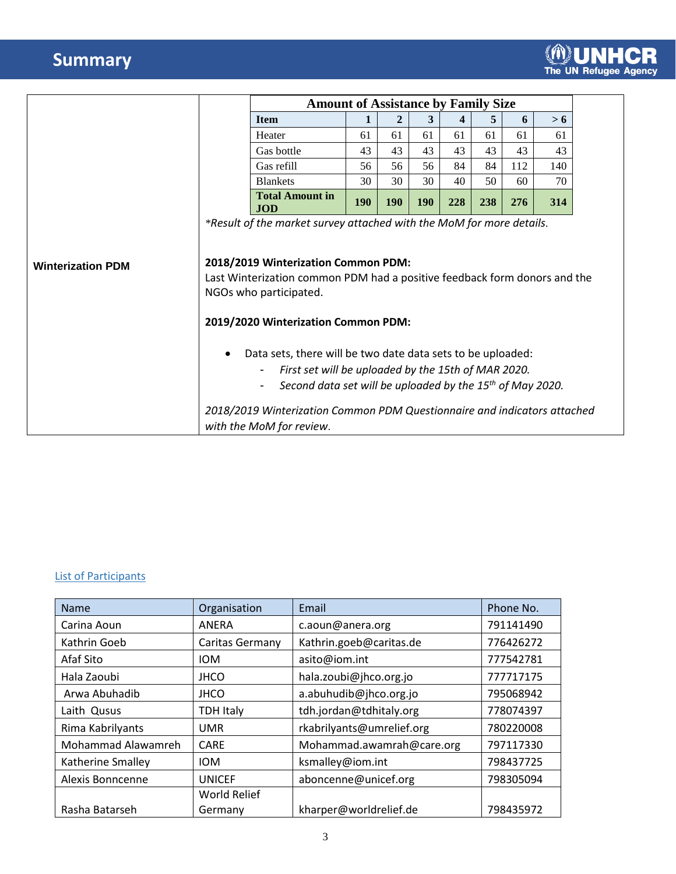# **Summary**

|                          |                                                                                                                                                                                                                                                                                                                                                                                                                                                                                                               | <b>Amount of Assistance by Family Size</b> |            |              |            |     |     |     |     |
|--------------------------|---------------------------------------------------------------------------------------------------------------------------------------------------------------------------------------------------------------------------------------------------------------------------------------------------------------------------------------------------------------------------------------------------------------------------------------------------------------------------------------------------------------|--------------------------------------------|------------|--------------|------------|-----|-----|-----|-----|
|                          |                                                                                                                                                                                                                                                                                                                                                                                                                                                                                                               | <b>Item</b>                                |            | $\mathbf{2}$ | 3          | 4   | 5   | 6   | > 6 |
|                          |                                                                                                                                                                                                                                                                                                                                                                                                                                                                                                               | Heater                                     | 61         | 61           | 61         | 61  | 61  | 61  | 61  |
|                          |                                                                                                                                                                                                                                                                                                                                                                                                                                                                                                               | Gas bottle                                 | 43         | 43           | 43         | 43  | 43  | 43  | 43  |
|                          |                                                                                                                                                                                                                                                                                                                                                                                                                                                                                                               | Gas refill                                 | 56         | 56           | 56         | 84  | 84  | 112 | 140 |
|                          |                                                                                                                                                                                                                                                                                                                                                                                                                                                                                                               | <b>Blankets</b>                            | 30         | 30           | 30         | 40  | 50  | 60  | 70  |
|                          |                                                                                                                                                                                                                                                                                                                                                                                                                                                                                                               | <b>Total Amount in</b><br><b>JOD</b>       | <b>190</b> | <b>190</b>   | <b>190</b> | 228 | 238 | 276 | 314 |
| <b>Winterization PDM</b> | 2018/2019 Winterization Common PDM:<br>Last Winterization common PDM had a positive feedback form donors and the<br>NGOs who participated.<br>2019/2020 Winterization Common PDM:<br>Data sets, there will be two date data sets to be uploaded:<br>$\bullet$<br>First set will be uploaded by the 15th of MAR 2020.<br>$\blacksquare$<br>Second data set will be uploaded by the 15 <sup>th</sup> of May 2020.<br>$\blacksquare$<br>2018/2019 Winterization Common PDM Questionnaire and indicators attached |                                            |            |              |            |     |     |     |     |
|                          |                                                                                                                                                                                                                                                                                                                                                                                                                                                                                                               | with the MoM for review.                   |            |              |            |     |     |     |     |

#### List of Participants

| <b>Name</b>        | Organisation        | Email                     | Phone No. |  |
|--------------------|---------------------|---------------------------|-----------|--|
| Carina Aoun        | ANERA               | c.aoun@anera.org          | 791141490 |  |
| Kathrin Goeb       | Caritas Germany     | Kathrin.goeb@caritas.de   | 776426272 |  |
| Afaf Sito          | <b>IOM</b>          | asito@iom.int             | 777542781 |  |
| Hala Zaoubi        | <b>JHCO</b>         | hala.zoubi@jhco.org.jo    | 777717175 |  |
| Arwa Abuhadib      | <b>JHCO</b>         | a.abuhudib@jhco.org.jo    | 795068942 |  |
| Laith Qusus        | <b>TDH Italy</b>    | tdh.jordan@tdhitaly.org   | 778074397 |  |
| Rima Kabrilyants   | <b>UMR</b>          | rkabrilyants@umrelief.org | 780220008 |  |
| Mohammad Alawamreh | CARE                | Mohammad.awamrah@care.org | 797117330 |  |
| Katherine Smalley  | <b>IOM</b>          | ksmalley@iom.int          | 798437725 |  |
| Alexis Bonncenne   | <b>UNICEF</b>       | aboncenne@unicef.org      | 798305094 |  |
|                    | <b>World Relief</b> |                           |           |  |
| Rasha Batarseh     | Germany             | kharper@worldrelief.de    | 798435972 |  |